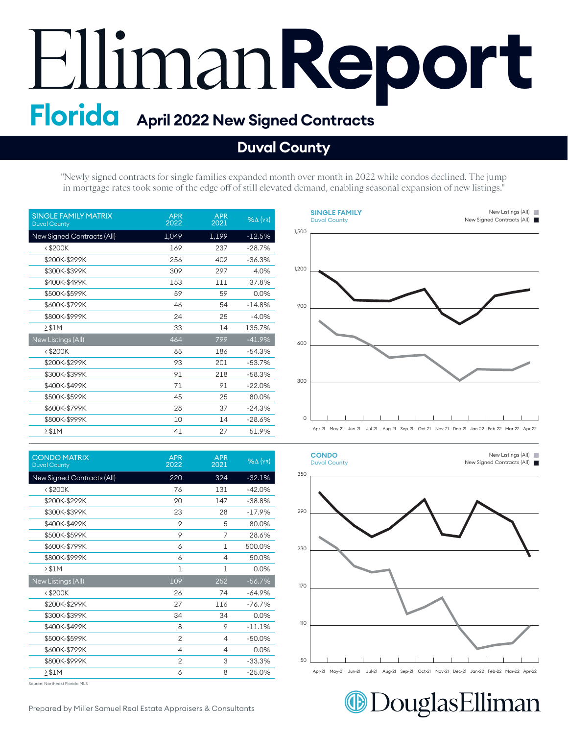# **Report Florida April 2022 New Signed Contracts**

### **Duval County**

"Newly signed contracts for single families expanded month over month in 2022 while condos declined. The jump in mortgage rates took some of the edge off of still elevated demand, enabling seasonal expansion of new listings."

| <b>SINGLE FAMILY MATRIX</b><br><b>Duval County</b> | <b>APR</b><br>2022 | <b>APR</b><br>2021 | $%$ $\Delta$ (YR) |
|----------------------------------------------------|--------------------|--------------------|-------------------|
| New Signed Contracts (All)                         | 1,049              | 1,199              | $-12.5%$          |
| $<$ \$200 $K$                                      | 169                | 237                | $-28.7%$          |
| \$200K-\$299K                                      | 256                | 402                | $-36.3%$          |
| \$300K-\$399K                                      | 309                | 297                | 4.0%              |
| \$400K-\$499K                                      | 153                | 111                | 37.8%             |
| \$500K-\$599K                                      | 59                 | 59                 | 0.0%              |
| \$600K-\$799K                                      | 46                 | 54                 | $-14.8%$          |
| \$800K-\$999K                                      | 24                 | 25                 | $-4.0%$           |
| $\geq$ \$1M                                        | 33                 | 14                 | 135.7%            |
| New Listings (All)                                 | 464                | 799                | $-41.9%$          |
| $<$ \$200K                                         | 85                 | 186                | $-54.3%$          |
| \$200K-\$299K                                      | 93                 | 201                | $-53.7%$          |
| \$300K-\$399K                                      | 91                 | 218                | $-58.3%$          |
| \$400K-\$499K                                      | 71                 | 91                 | $-22.0%$          |
| \$500K-\$599K                                      | 45                 | 25                 | 80.0%             |
| \$600K-\$799K                                      | 28                 | 37                 | $-24.3%$          |
| \$800K-\$999K                                      | 10                 | 14                 | $-28.6%$          |
| $>$ \$1M                                           | 41                 | 27                 | 51.9%             |

| <b>CONDO MATRIX</b><br><b>Duval County</b> | <b>APR</b><br>2022 | <b>APR</b><br>2021 | $%$ $\Delta$ (YR) |
|--------------------------------------------|--------------------|--------------------|-------------------|
| New Signed Contracts (All)                 | 220                | 324                | $-32.1%$          |
| $<$ \$200 $K$                              | 76                 | 131                | $-42.0%$          |
| \$200K-\$299K                              | 90                 | 147                | $-38.8%$          |
| \$300K-\$399K                              | 23                 | 28                 | $-17.9%$          |
| \$400K-\$499K                              | 9                  | 5                  | 80.0%             |
| \$500K-\$599K                              | 9                  | 7                  | 28.6%             |
| \$600K-\$799K                              | 6                  | 1                  | 500.0%            |
| \$800K-\$999K                              | 6                  | 4                  | 50.0%             |
| $\geq$ \$1M                                | 1                  | $\mathbf 1$        | 0.0%              |
| New Listings (All)                         | 109                | 252                | $-56.7%$          |
| $<$ \$200 $K$                              | 26                 | 74                 | $-64.9%$          |
| \$200K-\$299K                              | 27                 | 116                | $-76.7%$          |
| \$300K-\$399K                              | 34                 | 34                 | 0.0%              |
| \$400K-\$499K                              | 8                  | 9                  | $-11.1%$          |
| \$500K-\$599K                              | $\overline{c}$     | 4                  | $-50.0%$          |
| \$600K-\$799K                              | 4                  | 4                  | 0.0%              |
| \$800K-\$999K                              | $\overline{2}$     | 3                  | $-33.3%$          |
| $2$ \$1M                                   | 6                  | 8                  | $-25.0%$          |
|                                            |                    |                    |                   |

Source: Northeast Florida MLS





**@DouglasElliman** 

Prepared by Miller Samuel Real Estate Appraisers & Consultants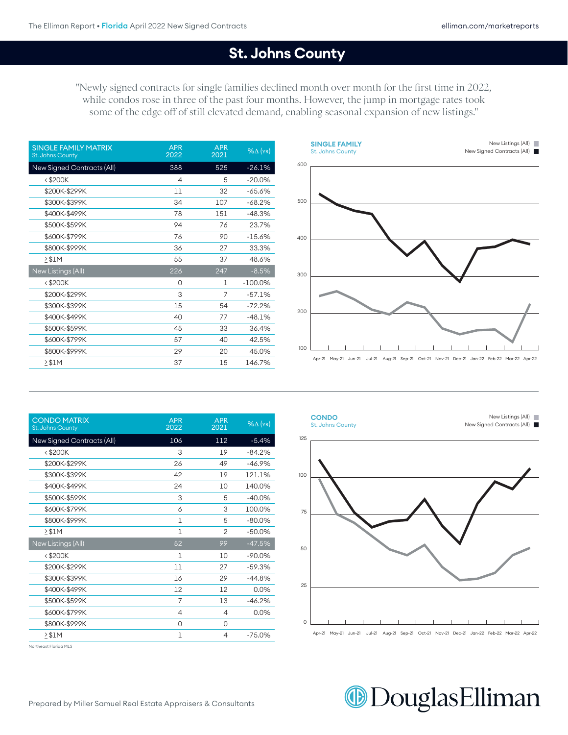#### St. Johns County

"Newly signed contracts for single families declined month over month for the first time in 2022, while condos rose in three of the past four months. However, the jump in mortgage rates took some of the edge off of still elevated demand, enabling seasonal expansion of new listings."

| <b>SINGLE FAMILY MATRIX</b><br>St. Johns County | <b>APR</b><br>2022 | <b>APR</b><br>2021 | $%$ $\Delta$ (YR) |
|-------------------------------------------------|--------------------|--------------------|-------------------|
| <b>New Signed Contracts (All)</b>               | 388                | 525                | $-26.1%$          |
| $<$ \$200 $K$                                   | 4                  | 5                  | $-20.0%$          |
| \$200K-\$299K                                   | 11                 | 32                 | $-65.6%$          |
| \$300K-\$399K                                   | 34                 | 107                | $-68.2%$          |
| \$400K-\$499K                                   | 78                 | 151                | $-48.3%$          |
| \$500K-\$599K                                   | 94                 | 76                 | 23.7%             |
| \$600K-\$799K                                   | 76                 | 90                 | $-15.6%$          |
| \$800K-\$999K                                   | 36                 | 27                 | 33.3%             |
| $2$ \$1M                                        | 55                 | 37                 | 48.6%             |
| New Listings (All)                              | 226                | 247                | $-8.5\%$          |
| $<$ \$200 $K$                                   | 0                  | 1                  | $-100.0\%$        |
| \$200K-\$299K                                   | 3                  | 7                  | $-57.1%$          |
| \$300K-\$399K                                   | 15                 | 54                 | $-72.2%$          |
| \$400K-\$499K                                   | 40                 | 77                 | $-48.1%$          |
| \$500K-\$599K                                   | 45                 | 33                 | 36.4%             |
| \$600K-\$799K                                   | 57                 | 40                 | 42.5%             |
| \$800K-\$999K                                   | 29                 | 20                 | 45.0%             |
| $\geq$ \$1M                                     | 37                 | 15                 | 146.7%            |



| <b>CONDO MATRIX</b><br>St. Johns County | <b>APR</b><br>2022 | <b>APR</b><br>2021 | $%$ $\Delta$ (YR) |
|-----------------------------------------|--------------------|--------------------|-------------------|
| <b>New Signed Contracts (All)</b>       | 106                | 112                | $-5.4%$           |
| $<$ \$200 $K$                           | 3                  | 19                 | $-84.2%$          |
| \$200K-\$299K                           | 26                 | 49                 | $-46.9%$          |
| \$300K-\$399K                           | 42                 | 19                 | 121.1%            |
| \$400K-\$499K                           | 24                 | 10                 | 140.0%            |
| \$500K-\$599K                           | 3                  | 5                  | $-40.0%$          |
| \$600K-\$799K                           | 6                  | 3                  | 100.0%            |
| \$800K-\$999K                           | 1                  | 5                  | $-80.0%$          |
| $\geq$ \$1M                             | $\mathbf{1}$       | $\mathfrak{D}$     | $-50.0%$          |
| New Listings (All)                      | 52                 | 99                 | $-47.5%$          |
| $<$ \$200 $K$                           | 1                  | 10                 | $-90.0%$          |
| \$200K-\$299K                           | 11                 | 27                 | $-59.3%$          |
| \$300K-\$399K                           | 16                 | 29                 | $-44.8%$          |
| \$400K-\$499K                           | 12                 | 12                 | 0.0%              |
| \$500K-\$599K                           | 7                  | 13                 | $-46.2%$          |
| \$600K-\$799K                           | $\overline{4}$     | 4                  | 0.0%              |
| \$800K-\$999K                           | 0                  | 0                  |                   |
| $\geq$ \$1M                             | 1                  | 4                  | $-75.0%$          |

Northeast Florida MLS



## **DouglasElliman**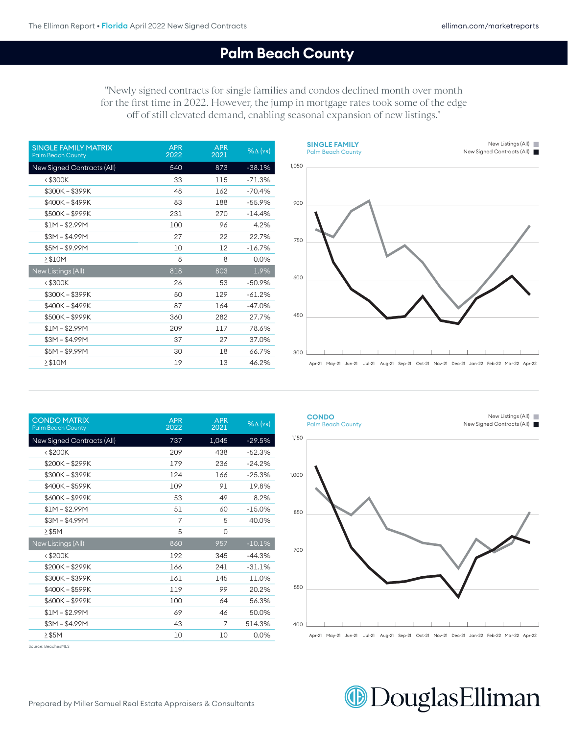#### **Palm Beach County Aug-21 Aug-21 Aug-21 Aug-21 Aug-21 Aug-21 Aug-21 Aug-21 Aug-21 Apr**

"Newly signed contracts for single families and condos declined month over month for the first time in 2022. However, the jump in mortgage rates took some of the edge off of still elevated demand, enabling seasonal expansion of new listings."

| <b>SINGLE FAMILY MATRIX</b><br><b>Palm Beach County</b> | <b>APR</b><br>2022 | <b>APR</b><br>2021 | $%$ $\Delta$ (YR) |
|---------------------------------------------------------|--------------------|--------------------|-------------------|
| New Signed Contracts (All)                              | 540                | 873                | $-38.1%$          |
| $<$ \$300 $K$                                           | 33                 | 115                | $-71.3%$          |
| \$300K-\$399K                                           | 48                 | 162                | $-70.4%$          |
| \$400K - \$499K                                         | 83                 | 188                | $-55.9%$          |
| \$500K-\$999K                                           | 231                | 270                | $-14.4%$          |
| \$1M – \$2.99M                                          | 100                | 96                 | 4.2%              |
| \$3M – \$4.99M                                          | 27                 | 22                 | 22.7%             |
| \$5M – \$9.99M                                          | 10                 | 12                 | $-16.7%$          |
| $>$ \$10M                                               | 8                  | 8                  | 0.0%              |
| New Listings (All)                                      | 818                | 803                | 1.9%              |
| <\$300K                                                 | 26                 | 53                 | $-50.9%$          |
| \$300K-\$399K                                           | 50                 | 129                | $-61.2%$          |
| \$400K - \$499K                                         | 87                 | 164                | $-47.0%$          |
| \$500K-\$999K                                           | 360                | 282                | 27.7%             |
| $$1M - $2.99M$                                          | 209                | 117                | 78.6%             |
| $$3M - $4.99M$                                          | 37                 | 27                 | 37.0%             |
| $$5M - $9.99M$                                          | 30                 | 18                 | 66.7%             |
| $\geq$ \$10M                                            | 19                 | 13                 | 46.2%             |



 $A$  and  $\overline{2}$  are 21 May-21 decom21  $\overline{2}$  and  $\overline{2}$  and  $\overline{2}$  are 21  $\overline{2}$  and 22  $\overline{2}$  and 22  $\overline{2}$ 

| <b>CONDO MATRIX</b><br><b>Palm Beach County</b> | <b>APR</b><br>2022 | <b>APR</b><br>2021 | $%$ $\Delta$ (YR) |
|-------------------------------------------------|--------------------|--------------------|-------------------|
| <b>New Signed Contracts (All)</b>               | 737                | 1,045              | $-29.5%$          |
| <\$200K                                         | 209                | 438                | $-52.3%$          |
| \$200K - \$299K                                 | 179                | 236                | $-24.2%$          |
| \$300K - \$399K                                 | 124                | 166                | $-25.3%$          |
| \$400K - \$599K                                 | 109                | 91                 | 19.8%             |
| \$600K-\$999K                                   | 53                 | 49                 | 8.2%              |
| \$1M – \$2.99M                                  | 51                 | 60                 | $-15.0%$          |
| $$3M - $4.99M$                                  | 7                  | 5                  | 40.0%             |
| $\geq$ \$5M                                     | 5                  | O                  |                   |
| New Listings (All)                              | 860                | 957                | $-10.1%$          |
| $<$ \$200 $K$                                   | 192                | 345                | $-44.3%$          |
| \$200K-\$299K                                   | 166                | 241                | $-31.1%$          |
| \$300K - \$399K                                 | 161                | 145                | 11.0%             |
| \$400K - \$599K                                 | 119                | 99                 | 20.2%             |
| \$600K-\$999K                                   | 100                | 64                 | 56.3%             |
| \$1M – \$2.99M                                  | 69                 | 46                 | 50.0%             |
| $$3M - $4.99M$                                  | 43                 | 7                  | 514.3%            |
| > \$5M                                          | 10                 | 10                 | 0.0%              |



Source: BeachesMLS

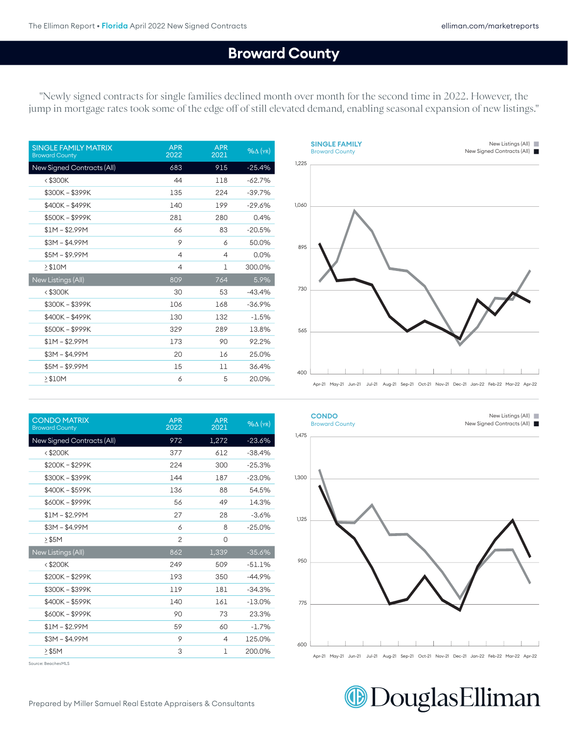#### **Broward County August 2002 August 2003** Apr-21 May-21 Jun-21 Jul-21 Aug-21 Sep-21 Oct-21 Nov-21 Dec-21 Jan-22 Feb-22 Mar-22 Apr-22

"Newly signed contracts for single families declined month over month for the second time in 2022. However, the jump in mortgage rates took some of the edge off of still elevated demand, enabling seasonal expansion of new listings."

| <b>SINGLE FAMILY MATRIX</b><br><b>Broward County</b> | <b>APR</b><br>2022 | <b>APR</b><br>2021 | $%$ $\Delta$ (YR) |
|------------------------------------------------------|--------------------|--------------------|-------------------|
| New Signed Contracts (All)                           | 683                | 915                | $-25.4%$          |
| $<$ \$300 $K$                                        | 44                 | 118                | $-62.7%$          |
| \$300K - \$399K                                      | 135                | 224                | $-39.7%$          |
| \$400K - \$499K                                      | 140                | 199                | $-29.6%$          |
| \$500K - \$999K                                      | 281                | 280                | 0.4%              |
| $$1M - $2.99M$                                       | 66                 | 83                 | $-20.5%$          |
| $$3M - $4.99M$                                       | 9                  | 6                  | 50.0%             |
| $$5M - $9.99M$                                       | 4                  | $\overline{4}$     | 0.0%              |
| $\geq$ \$10M                                         | 4                  | 1                  | 300.0%            |
| New Listings (All)                                   | 809                | 764                | 5.9%              |
| $<$ \$300K                                           | 30                 | 53                 | $-43.4%$          |
| \$300K-\$399K                                        | 106                | 168                | $-36.9%$          |
| \$400K - \$499K                                      | 130                | 132                | $-1.5%$           |
| \$500K - \$999K                                      | 329                | 289                | 13.8%             |
| $$1M - $2.99M$                                       | 173                | 90                 | 92.2%             |
| $$3M - $4.99M$                                       | 20                 | 16                 | 25.0%             |
| $$5M - $9.99M$                                       | 15                 | 11                 | 36.4%             |
| $\geq$ \$10M                                         | 6                  | 5                  | 20.0%             |

|       | <b>SINGLE FAMILY</b><br><b>Broward County</b> |                                                                                            |  |  |  |  | New Listings (All)<br>New Signed Contracts (All) | П<br><b>Service Service</b> |
|-------|-----------------------------------------------|--------------------------------------------------------------------------------------------|--|--|--|--|--------------------------------------------------|-----------------------------|
| 1,225 |                                               |                                                                                            |  |  |  |  |                                                  |                             |
|       |                                               |                                                                                            |  |  |  |  |                                                  |                             |
| 1,060 |                                               |                                                                                            |  |  |  |  |                                                  |                             |
|       |                                               |                                                                                            |  |  |  |  |                                                  |                             |
| 895   |                                               |                                                                                            |  |  |  |  |                                                  |                             |
|       |                                               |                                                                                            |  |  |  |  |                                                  |                             |
| 730   |                                               |                                                                                            |  |  |  |  |                                                  |                             |
|       |                                               |                                                                                            |  |  |  |  |                                                  |                             |
| 565   |                                               |                                                                                            |  |  |  |  |                                                  |                             |
|       |                                               |                                                                                            |  |  |  |  |                                                  |                             |
| 400   |                                               |                                                                                            |  |  |  |  |                                                  |                             |
|       |                                               | Apr-21 May-21 Jun-21 Jul-21 Aug-21 Sep-21 Oct-21 Nov-21 Dec-21 Jan-22 Feb-22 Mar-22 Apr-22 |  |  |  |  |                                                  |                             |

| <b>CONDO MATRIX</b><br><b>Broward County</b> | <b>APR</b><br>2022 | <b>APR</b><br>2021 | $%$ $\Delta$ (YR) |
|----------------------------------------------|--------------------|--------------------|-------------------|
| New Signed Contracts (All)                   | 972                | 1,272              | $-23.6%$          |
| $<$ \$200 $K$                                | 377                | 612                | $-38.4%$          |
| \$200K-\$299K                                | 224                | 300                | $-25.3%$          |
| \$300K - \$399K                              | 144                | 187                | $-23.0%$          |
| \$400K-\$599K                                | 136                | 88                 | 54.5%             |
| \$600K-\$999K                                | 56                 | 49                 | 14.3%             |
| $$1M - $2.99M$                               | 27                 | 28                 | $-3.6%$           |
| $$3M - $4.99M$                               | 6                  | 8                  | $-25.0%$          |
| $\geq$ \$5M                                  | $\overline{c}$     | 0                  |                   |
| New Listings (All)                           | 862                | 1,339              | $-35.6%$          |
| $<$ \$200 $K$                                | 249                | 509                | $-51.1%$          |
| $$200K - $299K$                              | 193                | 350                | $-44.9%$          |
| \$300K-\$399K                                | 119                | 181                | $-34.3%$          |
| \$400K-\$599K                                | 140                | 161                | $-13.0\%$         |
| \$600K-\$999K                                | 90                 | 73                 | 23.3%             |
| $$1M - $2.99M$                               | 59                 | 60                 | $-1.7%$           |
| $$3M - $4.99M$                               | 9                  | 4                  | 125.0%            |
| $\geq$ \$5M                                  | 3                  | 1                  | 200.0%            |

Source: BeachesMLS



**@DouglasElliman**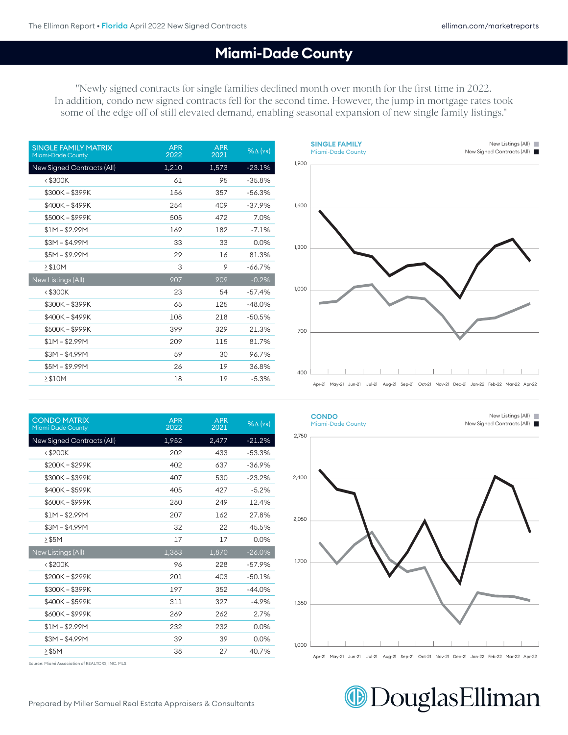New Listings (All)

#### **Miami-Dade County**

600

**SINGLE FAMILY**

"Newly signed contracts for single families declined month over month for the first time in 2022. In addition, condo new signed contracts fell for the second time. However, the jump in mortgage rates took some of the edge off of still elevated demand, enabling seasonal expansion of new single family listings."

| <b>SINGLE FAMILY MATRIX</b><br><b>Miami-Dade County</b> | <b>APR</b><br>2022 | <b>APR</b><br>2021 | $%$ $\Delta$ (YR) |
|---------------------------------------------------------|--------------------|--------------------|-------------------|
| New Signed Contracts (All)                              | 1,210              | 1,573              | $-23.1%$          |
| $<$ \$300K                                              | 61                 | 95                 | $-35.8%$          |
| \$300K - \$399K                                         | 156                | 357                | $-56.3%$          |
| \$400K - \$499K                                         | 254                | 409                | $-37.9%$          |
| \$500K-\$999K                                           | 505                | 472                | 7.0%              |
| $$1M - $2.99M$                                          | 169                | 182                | $-7.1%$           |
| $$3M - $4.99M$                                          | 33                 | 33                 | 0.0%              |
| $$5M - $9.99M$                                          | 29                 | 16                 | 81.3%             |
| $\geq$ \$10M                                            | 3                  | 9                  | $-66.7%$          |
| <b>New Listings (All)</b>                               | 907                | 909                | $-0.2%$           |
| $<$ \$300K                                              | 23                 | 54                 | $-57.4%$          |
| \$300K - \$399K                                         | 65                 | 125                | $-48.0%$          |
| \$400K - \$499K                                         | 108                | 218                | $-50.5%$          |
| \$500K - \$999K                                         | 399                | 329                | 21.3%             |
| $$1M - $2.99M$                                          | 209                | 115                | 81.7%             |
| $$3M - $4.99M$                                          | 59                 | 30                 | 96.7%             |
| $$5M - $9.99M$                                          | 26                 | 19                 | 36.8%             |
| $\geq$ \$10M                                            | 18                 | 19                 | $-5.3%$           |

|       | <b>SINGLE FAMILI</b><br>Miami-Dade County | $11011$ clothigo $V(0)$<br>New Signed Contracts (All)                                      |
|-------|-------------------------------------------|--------------------------------------------------------------------------------------------|
| 1,900 |                                           |                                                                                            |
| 1,600 |                                           |                                                                                            |
| 1,300 |                                           |                                                                                            |
| 1,000 |                                           |                                                                                            |
| 700   |                                           |                                                                                            |
| 400   |                                           | Apr-21 May-21 Jun-21 Jul-21 Aug-21 Sep-21 Oct-21 Nov-21 Dec-21 Jan-22 Feb-22 Mar-22 Apr-22 |

| <b>CONDO MATRIX</b><br><b>Miami-Dade County</b> | <b>APR</b><br>2022 | <b>APR</b><br>2021 | $%$ $\Delta$ (YR) |
|-------------------------------------------------|--------------------|--------------------|-------------------|
| New Signed Contracts (All)                      | 1,952              | 2,477              | $-21.2%$          |
| $<$ \$200K                                      | 202                | 433                | $-53.3%$          |
| \$200K - \$299K                                 | 402                | 637                | $-36.9%$          |
| \$300K - \$399K                                 | 407                | 530                | $-23.2%$          |
| \$400K - \$599K                                 | 405                | 427                | $-5.2%$           |
| \$600K-\$999K                                   | 280                | 249                | 12.4%             |
| $$1M - $2.99M$                                  | 207                | 162                | 27.8%             |
| $$3M - $4.99M$                                  | 32                 | 22                 | 45.5%             |
| $\geq$ \$5M                                     | 17                 | 17                 | 0.0%              |
| New Listings (All)                              | 1,383              | 1,870              | $-26.0\%$         |
| $<$ \$200 $K$                                   | 96                 | 228                | $-57.9%$          |
| \$200K-\$299K                                   | 201                | 403                | $-50.1%$          |
| \$300K - \$399K                                 | 197                | 352                | $-44.0%$          |
| \$400K - \$599K                                 | 311                | 327                | $-4.9%$           |
| \$600K - \$999K                                 | 269                | 262                | 2.7%              |
| $$1M - $2.99M$                                  | 232                | 232                | 0.0%              |
|                                                 |                    |                    |                   |
| $$3M - $4.99M$                                  | 39                 | 39                 | 0.0%              |



Source: Miami Association of REALTORS, INC. MLS

# **DouglasElliman**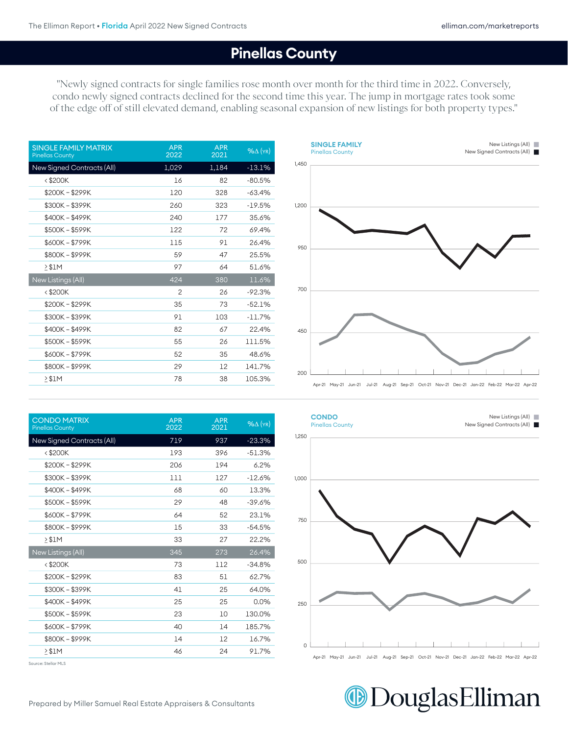New Listings (All)

#### **Pinellas County**

"Newly signed contracts for single families rose month over month for the third time in 2022. Conversely, condo newly signed contracts declined for the second time this year. The jump in mortgage rates took some of the edge off of still elevated demand, enabling seasonal expansion of new listings for both property types."

**SINGLE FAMILY**

| <b>APR</b><br>2022 | <b>APR</b><br>2021 | $%$ $\Delta$ (YR) |
|--------------------|--------------------|-------------------|
| 1,029              | 1,184              | $-13.1%$          |
| 16                 | 82                 | $-80.5%$          |
| 120                | 328                | $-63.4%$          |
| 260                | 323                | $-19.5%$          |
| 240                | 177                | 35.6%             |
| 122                | 72                 | 69.4%             |
| 115                | 91                 | 26.4%             |
| 59                 | 47                 | 25.5%             |
| 97                 | 64                 | 51.6%             |
| 424                | 380                | 11.6%             |
| $\overline{c}$     | 26                 | $-92.3%$          |
| 35                 | 73                 | $-52.1%$          |
| 91                 | 103                | $-11.7%$          |
| 82                 | 67                 | 22.4%             |
| 55                 | 26                 | 111.5%            |
| 52                 | 35                 | 48.6%             |
| 29                 | 12                 | 141.7%            |
| 78                 | 38                 | 105.3%            |
|                    |                    |                   |

|       | <b>VIRVEL LAPILE</b><br><b>Pinellas County</b> | New Signed Contracts (All)                                                                 |
|-------|------------------------------------------------|--------------------------------------------------------------------------------------------|
| 1,450 |                                                |                                                                                            |
| 1,200 |                                                |                                                                                            |
| 950   |                                                |                                                                                            |
| 700   |                                                |                                                                                            |
| 450   |                                                |                                                                                            |
| 200   |                                                | Apr-21 May-21 Jun-21 Jul-21 Aug-21 Sep-21 Oct-21 Nov-21 Dec-21 Jan-22 Feb-22 Mar-22 Apr-22 |

 $A$  and  $21$  aug-21  $\mu$  and  $21$   $\mu$  -21  $\mu$  and 21  $\mu$  and 21  $\mu$  and 22  $\mu$  and 22  $\mu$ 

| <b>CONDO MATRIX</b><br><b>Pinellas County</b> | <b>APR</b><br>2022 | <b>APR</b><br>2021 | $%$ $\Delta$ (YR) |
|-----------------------------------------------|--------------------|--------------------|-------------------|
| New Signed Contracts (All)                    | 719                | 937                | $-23.3%$          |
| $<$ \$200 $K$                                 | 193                | 396                | $-51.3%$          |
| \$200K-\$299K                                 | 206                | 194                | 6.2%              |
| \$300K - \$399K                               | 111                | 127                | $-12.6%$          |
| \$400K - \$499K                               | 68                 | 60                 | 13.3%             |
| \$500K - \$599K                               | 29                 | 48                 | $-39.6%$          |
| \$600K-\$799K                                 | 64                 | 52                 | 23.1%             |
| \$800K-\$999K                                 | 15                 | 33                 | $-54.5%$          |
| $\geq$ \$1M                                   | 33                 | 27                 | 22.2%             |
| <b>New Listings (All)</b>                     | 345                | 273                | 26.4%             |
| < \$200K                                      | 73                 | 112                | $-34.8%$          |
| \$200K-\$299K                                 | 83                 | 51                 | 62.7%             |
| \$300K - \$399K                               | 41                 | 25                 | 64.0%             |
| \$400K - \$499K                               | 25                 | 25                 | 0.0%              |
| \$500K - \$599K                               | 23                 | 10                 | 130.0%            |
| \$600K-\$799K                                 | 40                 | 14                 | 185.7%            |
| \$800K-\$999K                                 | 14                 | 12                 | 16.7%             |
| $\geq$ \$1M                                   | 46                 | 24                 | 91.7%             |

Source: Stellar MLS



Apr-21 May-21 Jun-21 Jul-21 Aug-21 Sep-21 Oct-21 Nov-21 Dec-21 Jan-22 Feb-22 Mar-22 Apr-22 Apr-21 May-21 Jun-21 Jul-21 Aug-21 Sep-21 Oct-21 Nov-21 Dec-21 Jan-22 Feb-22 Mar-22 Apr-22

0 0

**DouglasElliman** 

 $\blacksquare$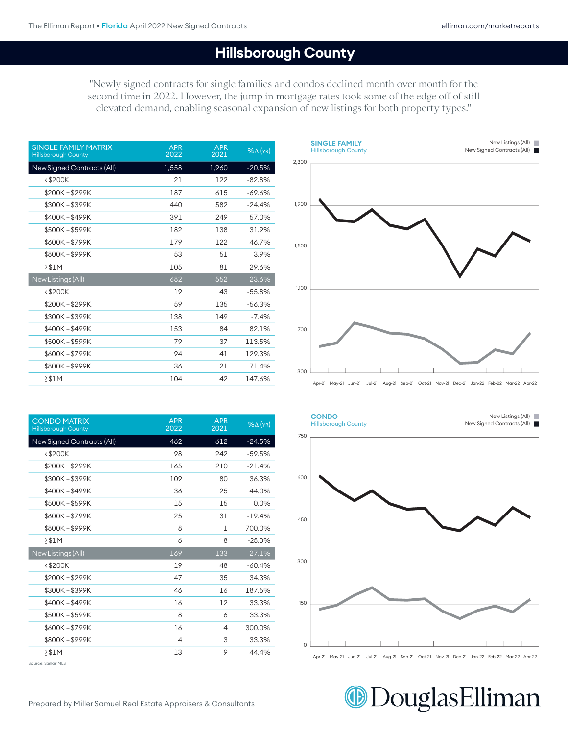## **Hillsborough County** 0

"Newly signed contracts for single families and condos declined month over month for the second time in 2022. However, the jump in mortgage rates took some of the edge off of still elevated demand, enabling seasonal expansion of new listings for both property types."

| <b>SINGLE FAMILY MATRIX</b><br><b>Hillsborough County</b> | <b>APR</b><br>2022 | <b>APR</b><br>2021 | $%$ $\Delta$ (YR) |
|-----------------------------------------------------------|--------------------|--------------------|-------------------|
| New Signed Contracts (All)                                | 1,558              | 1,960              | $-20.5%$          |
| <\$200K                                                   | 21                 | 122                | $-82.8%$          |
| \$200K-\$299K                                             | 187                | 615                | -69.6%            |
| \$300K - \$399K                                           | 440                | 582                | $-24.4%$          |
| \$400K - \$499K                                           | 391                | 249                | 57.0%             |
| \$500K - \$599K                                           | 182                | 138                | 31.9%             |
| \$600K-\$799K                                             | 179                | 122                | 46.7%             |
| \$800K-\$999K                                             | 53                 | 51                 | 3.9%              |
| > \$1M                                                    | 105                | 81                 | 29.6%             |
| New Listings (All)                                        | 682                | 552                | 23.6%             |
| <\$200K                                                   | 19                 | 43                 | $-55.8%$          |
| \$200K-\$299K                                             | 59                 | 135                | $-56.3%$          |
| \$300K - \$399K                                           | 138                | 149                | $-7.4%$           |
| \$400K - \$499K                                           | 153                | 84                 | 82.1%             |
| \$500K - \$599K                                           | 79                 | 37                 | 113.5%            |
| \$600K - \$799K                                           | 94                 | 41                 | 129.3%            |
| \$800K-\$999K                                             | 36                 | 21                 | 71.4%             |
| > \$1M                                                    | 104                | 42                 | 147.6%            |

| <b>CONDO MATRIX</b><br><b>Hillsborough County</b> | <b>APR</b><br>2022 | <b>APR</b><br>2021 | $%$ $\Delta$ (YR) |
|---------------------------------------------------|--------------------|--------------------|-------------------|
| New Signed Contracts (All)                        | 462                | 612                | $-24.5%$          |
| $<$ \$200K                                        | 98                 | 242                | $-59.5%$          |
| \$200K-\$299K                                     | 165                | 210                | $-21.4%$          |
| \$300K - \$399K                                   | 109                | 80                 | 36.3%             |
| \$400K - \$499K                                   | 36                 | 25                 | 44.0%             |
| \$500K - \$599K                                   | 15                 | 15                 | 0.0%              |
| \$600K-\$799K                                     | 25                 | 31                 | $-19.4%$          |
| \$800K-\$999K                                     | 8                  | 1                  | 700.0%            |
| > \$1M                                            | 6                  | 8                  | $-25.0%$          |
| New Listings (All)                                | 169                | 133                | 27.1%             |
| $<$ \$200 $K$                                     | 19                 | 48                 | $-60.4%$          |
| \$200K - \$299K                                   | 47                 | 35                 | 34.3%             |
| \$300K-\$399K                                     | 46                 | 16                 | 187.5%            |
| \$400K - \$499K                                   | 16                 | 12                 | 33.3%             |
| \$500K - \$599K                                   | 8                  | 6                  | 33.3%             |
| \$600K-\$799K                                     | 16                 | 4                  | 300.0%            |
| \$800K-\$999K                                     | 4                  | 3                  | 33.3%             |
| > \$1M                                            | 13                 | 9                  | 44.4%             |







**DouglasElliman**